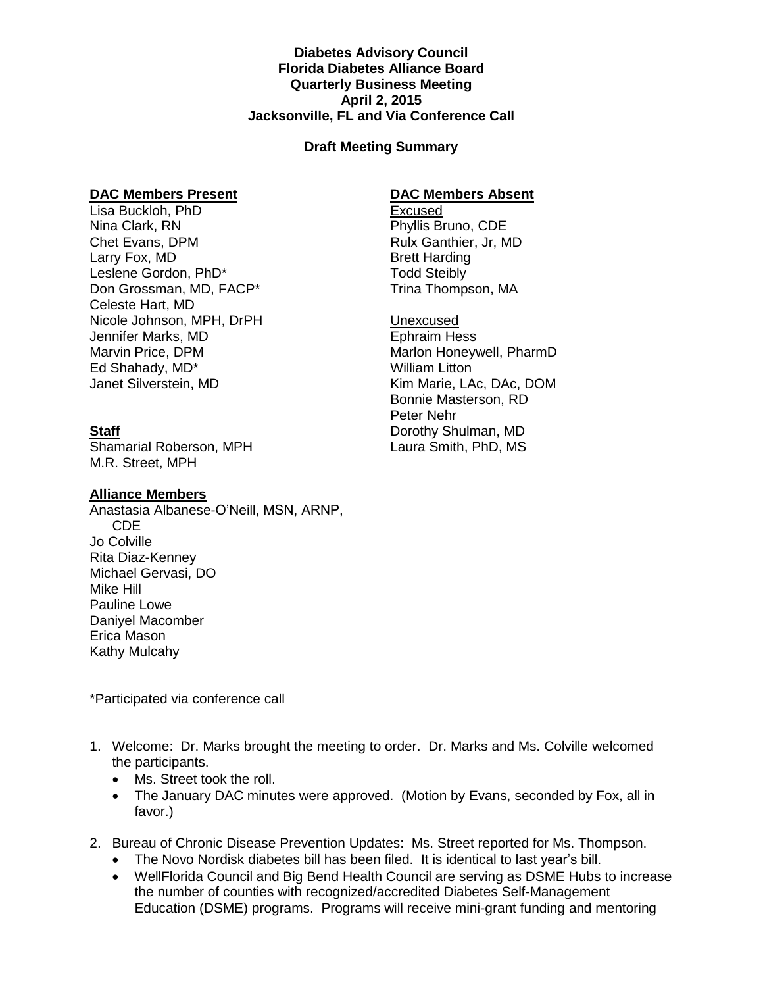**Diabetes Advisory Council Florida Diabetes Alliance Board Quarterly Business Meeting April 2, 2015 Jacksonville, FL and Via Conference Call**

## **Draft Meeting Summary**

### **DAC Members Present**

Lisa Buckloh, PhD Nina Clark, RN Chet Evans, DPM Larry Fox, MD Leslene Gordon, PhD\* Don Grossman, MD, FACP\* Celeste Hart, MD Nicole Johnson, MPH, DrPH Jennifer Marks, MD Marvin Price, DPM Ed Shahady, MD\* Janet Silverstein, MD

# **Staff**

Shamarial Roberson, MPH M.R. Street, MPH

### **Alliance Members**

Anastasia Albanese-O'Neill, MSN, ARNP, CDE Jo Colville Rita Diaz-Kenney Michael Gervasi, DO Mike Hill Pauline Lowe Daniyel Macomber Erica Mason Kathy Mulcahy

\*Participated via conference call

- 1. Welcome: Dr. Marks brought the meeting to order. Dr. Marks and Ms. Colville welcomed the participants.
	- Ms. Street took the roll.
	- The January DAC minutes were approved. (Motion by Evans, seconded by Fox, all in favor.)
- 2. Bureau of Chronic Disease Prevention Updates: Ms. Street reported for Ms. Thompson.
	- The Novo Nordisk diabetes bill has been filed. It is identical to last year's bill.
	- WellFlorida Council and Big Bend Health Council are serving as DSME Hubs to increase the number of counties with recognized/accredited Diabetes Self-Management Education (DSME) programs. Programs will receive mini-grant funding and mentoring

# **DAC Members Absent**

**Excused** Phyllis Bruno, CDE Rulx Ganthier, Jr, MD Brett Harding Todd Steibly Trina Thompson, MA

Unexcused

Ephraim Hess Marlon Honeywell, PharmD William Litton Kim Marie, LAc, DAc, DOM Bonnie Masterson, RD Peter Nehr Dorothy Shulman, MD Laura Smith, PhD, MS